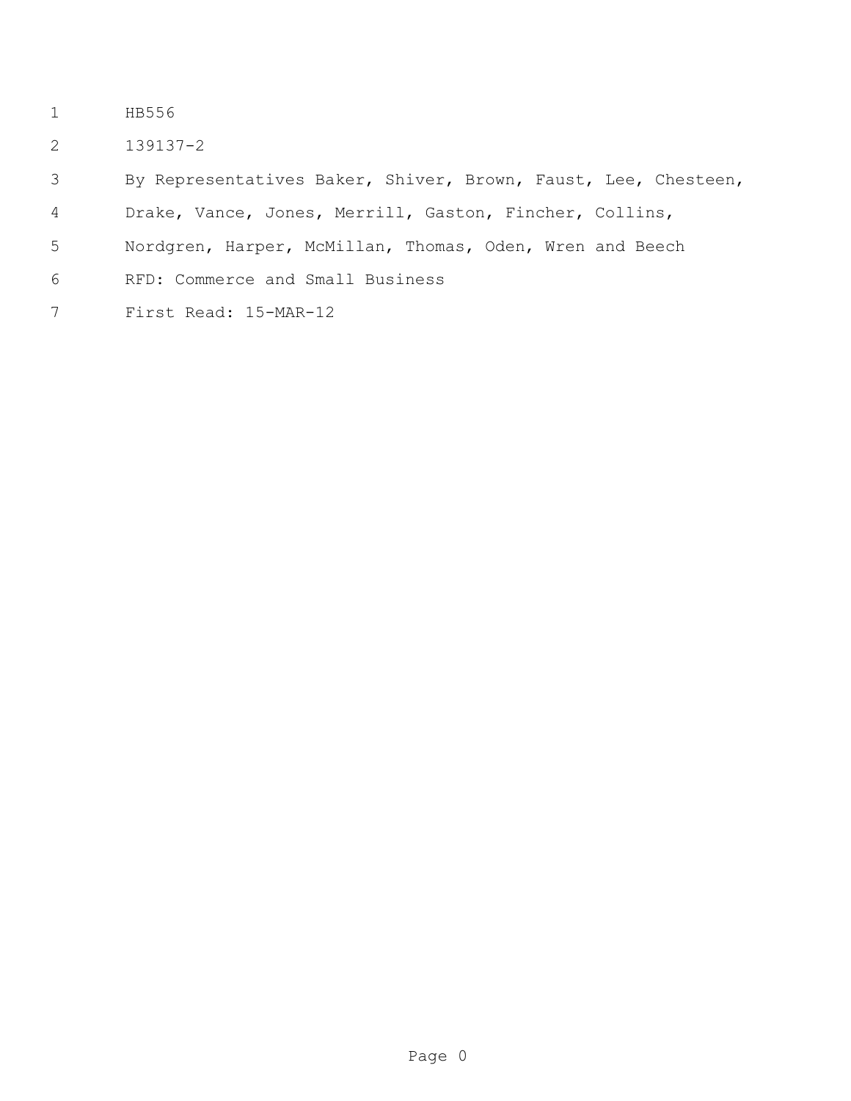- HB556
- 139137-2

By Representatives Baker, Shiver, Brown, Faust, Lee, Chesteen,

Drake, Vance, Jones, Merrill, Gaston, Fincher, Collins,

- Nordgren, Harper, McMillan, Thomas, Oden, Wren and Beech
- RFD: Commerce and Small Business
- First Read: 15-MAR-12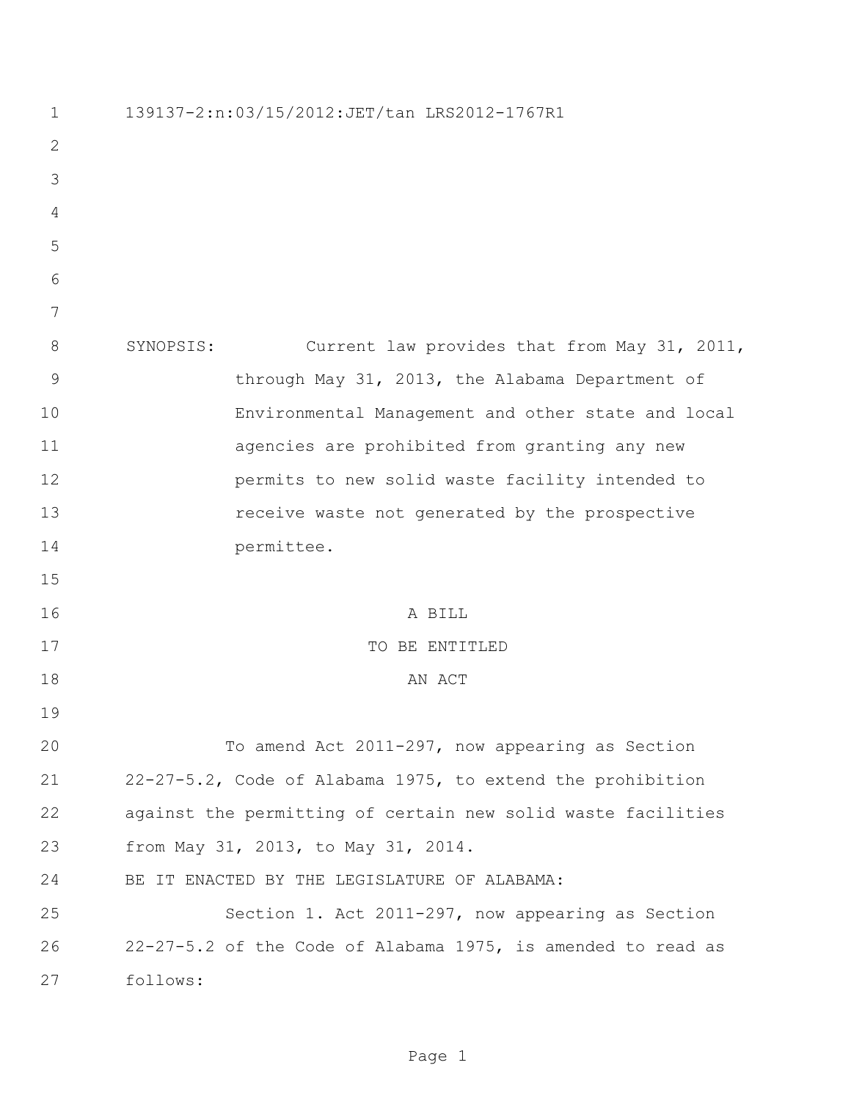| $\mathbf 1$    | 139137-2:n:03/15/2012:JET/tan LRS2012-1767R1                 |
|----------------|--------------------------------------------------------------|
| $\mathbf{2}$   |                                                              |
| 3              |                                                              |
| $\overline{4}$ |                                                              |
| 5              |                                                              |
| 6              |                                                              |
| 7              |                                                              |
| 8              | SYNOPSIS:<br>Current law provides that from May 31, 2011,    |
| 9              | through May 31, 2013, the Alabama Department of              |
| 10             | Environmental Management and other state and local           |
| 11             | agencies are prohibited from granting any new                |
| 12             | permits to new solid waste facility intended to              |
| 13             | receive waste not generated by the prospective               |
| 14             | permittee.                                                   |
| 15             |                                                              |
| 16             | A BILL                                                       |
| 17             | TO BE ENTITLED                                               |
| 18             | AN ACT                                                       |
| 19             |                                                              |
| 20             | To amend Act 2011-297, now appearing as Section              |
| 21             | 22-27-5.2, Code of Alabama 1975, to extend the prohibition   |
| 22             | against the permitting of certain new solid waste facilities |
| 23             | from May 31, 2013, to May 31, 2014.                          |
| 24             | BE IT ENACTED BY THE LEGISLATURE OF ALABAMA:                 |
| 25             | Section 1. Act 2011-297, now appearing as Section            |
| 26             | 22-27-5.2 of the Code of Alabama 1975, is amended to read as |
| 27             | follows:                                                     |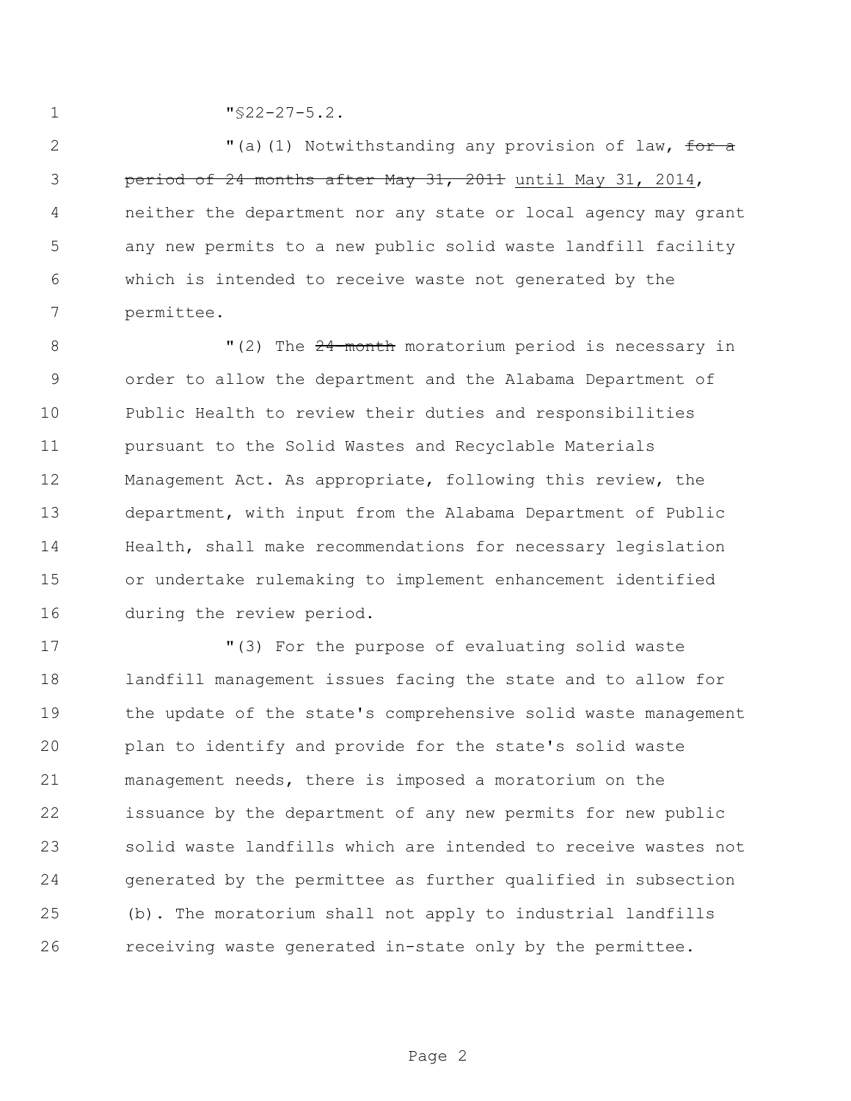"§22-27-5.2.

2 The Mexicle of Law Call (1) Notwithstanding any provision of law, for a period of 24 months after May 31, 2011 until May 31, 2014, neither the department nor any state or local agency may grant any new permits to a new public solid waste landfill facility which is intended to receive waste not generated by the permittee.

8 The 24-month moratorium period is necessary in order to allow the department and the Alabama Department of Public Health to review their duties and responsibilities pursuant to the Solid Wastes and Recyclable Materials Management Act. As appropriate, following this review, the department, with input from the Alabama Department of Public Health, shall make recommendations for necessary legislation or undertake rulemaking to implement enhancement identified during the review period.

 "(3) For the purpose of evaluating solid waste landfill management issues facing the state and to allow for the update of the state's comprehensive solid waste management plan to identify and provide for the state's solid waste management needs, there is imposed a moratorium on the issuance by the department of any new permits for new public solid waste landfills which are intended to receive wastes not generated by the permittee as further qualified in subsection (b). The moratorium shall not apply to industrial landfills receiving waste generated in-state only by the permittee.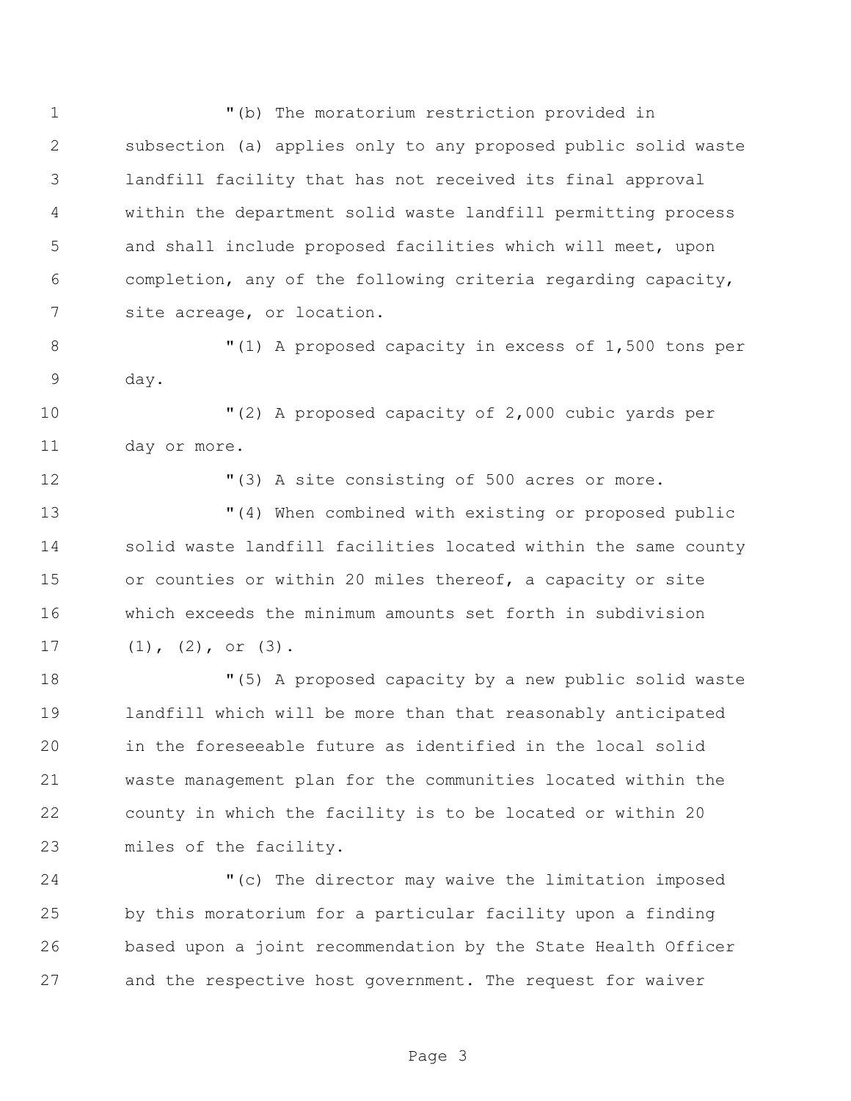"(b) The moratorium restriction provided in subsection (a) applies only to any proposed public solid waste landfill facility that has not received its final approval within the department solid waste landfill permitting process and shall include proposed facilities which will meet, upon completion, any of the following criteria regarding capacity, site acreage, or location.

 "(1) A proposed capacity in excess of 1,500 tons per day.

 "(2) A proposed capacity of 2,000 cubic yards per day or more.

"(3) A site consisting of 500 acres or more.

 "(4) When combined with existing or proposed public 14 solid waste landfill facilities located within the same county 15 or counties or within 20 miles thereof, a capacity or site which exceeds the minimum amounts set forth in subdivision (1), (2), or (3).

 "(5) A proposed capacity by a new public solid waste landfill which will be more than that reasonably anticipated in the foreseeable future as identified in the local solid waste management plan for the communities located within the county in which the facility is to be located or within 20 miles of the facility.

 "(c) The director may waive the limitation imposed by this moratorium for a particular facility upon a finding based upon a joint recommendation by the State Health Officer and the respective host government. The request for waiver